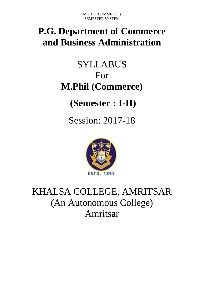# **P.G. Department of Commerce and Business Administration**

# SYLLABUS For **M.Phil (Commerce)**

# **(Semester : I-II)**

Session: 2017-18



# KHALSA COLLEGE, AMRITSAR (An Autonomous College) Amritsar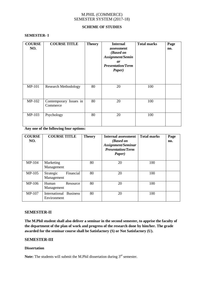#### **SCHEME OF STUDIES**

#### **SEMESTER- I**

| <b>COURSE</b><br>NO. | <b>COURSE TITLE</b>                | <b>Theory</b> | <b>Internal</b><br>assessment<br>(Based on<br>Assignment/Semin<br><i>ar</i><br><b>Presentation/Term</b><br>Paper) | <b>Total marks</b> | Page<br>no. |
|----------------------|------------------------------------|---------------|-------------------------------------------------------------------------------------------------------------------|--------------------|-------------|
| <b>MP-101</b>        | <b>Research Methodology</b>        | 80            | 20                                                                                                                | 100                |             |
| MP-102               | Contemporary Issues in<br>Commerce | 80            | 20                                                                                                                | 100                |             |
| MP-103               | Psychology                         | 80            | 20                                                                                                                | 100                |             |

**Any one of the following four options:**

| <b>COURSE</b><br>NO. | <b>COURSE TITLE</b>                             | <b>Theory</b> | <b>Internal assessment</b><br>(Based on<br>Assignment/Seminar<br><b>Presentation/Term</b><br>Paper) | <b>Total marks</b> | Page<br>no. |
|----------------------|-------------------------------------------------|---------------|-----------------------------------------------------------------------------------------------------|--------------------|-------------|
| MP-104               | Marketing<br>Management                         | 80            | 20                                                                                                  | 100                |             |
| $MP-105$             | Financial<br>Strategic<br>Management            | 80            | 20                                                                                                  | 100                |             |
| MP-106               | Human<br>Resource<br>Management                 | 80            | 20                                                                                                  | 100                |             |
| MP-107               | <b>Business</b><br>International<br>Environment | 80            | 20                                                                                                  | 100                |             |

# **SEMESTER-II**

**The M.Phil student shall also deliver a seminar in the second semester, to apprise the faculty of the department of the plan of work and progress of the research done by him/her. The grade awarded for the seminar course shall be Satisfactory (S) or Not Satisfactory (U).**

# **SEMESTER-III**

### **Dissertation**

**Note:** The students will submit the M.Phil dissertation during 3<sup>rd</sup> semester.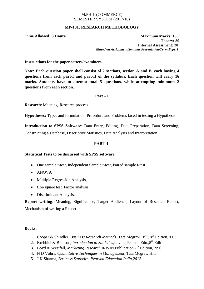# **MP-101: RESEARCH METHODOLOGY**

**Time Allowed: 3 Hours Maximum Marks: 100 Theory: 80 Internal Assessment: 20** *(Based on Assignment/Seminar Presentation/Term Paper)*

**Instructions for the paper setters/examiners**

**Note: Each question paper shall consist of 2 sections, section A and B, each having 4 questions from each part-I and part-II of the syllabus. Each question will carry 16 marks. Students have to attempt total 5 questions, while attempting minimum 2 questions from each section.**

#### **Part – I**

**Research**: Meaning, Research process.

**Hypotheses:** Types and formulation; Procedure and Problems faced in testing a Hypothesis.

**Introduction to SPSS Software**: Data Entry, Editing, Data Preparation, Data Screening, Constructing a Database, Descriptive Statistics, Data Analysis and Interpretation.

# **PART-II**

# **Statistical Tests to be discussed with SPSS software:**

- One sample t-test, Independent Sample t-test, Paired sample t-test
- ANOVA
- Multiple Regression Analysis,
- Chi-square test. Factor analysis,
- Discriminant Analysis.

**Report writing**: Meaning, Significance, Target Audience, Layout of Research Report, Mechanism of writing a Report.

#### **Books:**

- 1. Cooper & Shindler, *Business Research Methods*, Tata Mcgraw Hill, 8th Edition,2003
- 2. Krehbiel & Branson, *Introduction to Statistics*, Levine, Pearson Edu., 5<sup>th</sup> Edition
- 3. Boyd & Westfall, *Marketing Research*,IRWIN Publication,7th Edition,1996
- 4. N D Vohra, *Quantitative Techniques in Management*, Tata Mcgraw Hill
- 5. J.K Sharma, *Business Statistics, Pearson Education India,2012.*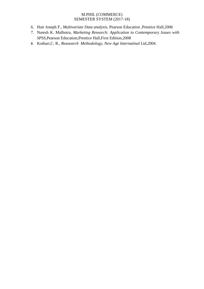- 6. Hair Joseph F*., Multivariate Data analysis*, Pearson Education ,Prentice Hall,2006
- 7. Naresh K. Malhotra*, Marketing Research: Application to Contemporary Issues with SPSS,*Pearson Education,Prentice Hall,First Edition,2008
- 8. Kothari,C. R*., Reasearch Methodology, New Age Internatinal Ltd,2004.*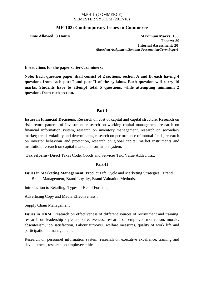# **MP-102: Contemporary Issues in Commerce**

**Time Allowed: 3 Hours Maximum Marks: 100 Theory: 80 Internal Assessment: 20** *(Based on Assignment/Seminar Presentation/Term Paper)*

**Instructions for the paper setters/examiners:**

**Note: Each question paper shall consist of 2 sections, section A and B, each having 4 questions from each part-I and part-II of the syllabus. Each question will carry 16 marks. Students have to attempt total 5 questions, while attempting minimum 2 questions from each section.**

# **Part-I**

**Issues in Financial Decisions**: Research on cost of capital and capital structure, Research on risk, return patterns of Investment, research on working capital management, research on financial information system, research on inventory management, research on secondary market; trend, volatility and determinants, research on performance of mutual funds, research on investor behaviour and protection, research on global capital market instruments and institution, research on capital markets information system.

**Tax reforms-** Direct Taxes Code, Goods and Services Tax, Value Added Tax.

# **Part-II**

**Issues in Marketing Management:** Product Life Cycle and Marketing Strategies; Brand and Brand Management, Brand Loyalty, Brand Valuation Methods.

Introduction to Retailing: Types of Retail Formats;

Advertising Copy and Media Effectiveness ;

Supply Chain Management.

**Issues in HRM:** Research on effectiveness of different sources of recruitment and training, research on leadership style and effectiveness, research on employee motivation, morale, absenteeism, job satisfaction, Labour turnover, welfare measures, quality of work life and participation in management.

Research on personnel information system, research on executive excellence, training and development, research on employee ethics.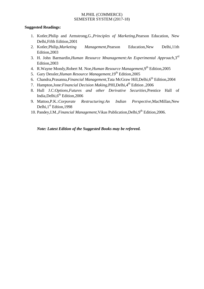# **Suggested Readings:**

- 1. Kotler,Philip and Armstrong,G.,*Principles of Marketing*,Pearson Education, New Delhi,Fifth Edition,2001
- 2. Kotler,Philip,*Marketing Management*,Pearson Education,New Delhi,11th Edition,2003
- 3. H. John Barmardin,*Human Resource Mnanagement:An Experimental Approach*,3rd Edition,2003
- 4. R.Wayne Mondy,Robert M. Noe,*Human Resource Management*,9th Edition,2005
- 5. Gary Dessler*,Human Resource Management*,19th Edition,2005
- 6. Chandra,Prasanna,*Financial Management*,Tata McGraw Hill,Delhi,6th Edition,2004
- 7. Hampton,Jone:*Financial Decision Making*,PHI,Delhi,4th Edition ,2006
- 8. Hull J.C:*Options,Futures and other Derivative Securities*,Prentice Hall of India, Delhi, 6<sup>th</sup> Edition, 2006
- 9. Mattoo,P.K.:*Corporate Restructuring:An Indian Perspective*,MacMillan,New Delhi, 1<sup>st</sup> Edtion, 1998
- 10. Pandey, I.M., *Financial Management*, Vikas Publication, Delhi, 9<sup>th</sup> Edition, 2006.

*Note: Latest Edition of the Suggested Books may be refereed.*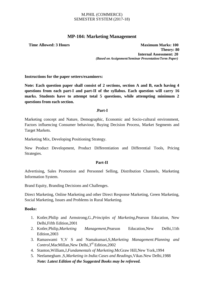# **MP-104: Marketing Management**

**Time Allowed: 3 Hours Maximum Marks: 100 Theory: 80 Internal Assessment: 20** *(Based on Assignment/Seminar Presentation/Term Paper)*

**Instructions for the paper setters/examiners:**

**Note: Each question paper shall consist of 2 sections, section A and B, each having 4 questions from each part-I and part-II of the syllabus. Each question will carry 16 marks. Students have to attempt total 5 questions, while attempting minimum 2 questions from each section.**

# .**Part-I**

Marketing concept and Nature, Demographic, Economic and Socio-cultural environment, Factors influencing Consumer behaviour, Buying Decision Process, Market Segments and Target Markets.

Marketing Mix, Developing Positioning Strategy.

New Product Development, Product Differentiation and Differential Tools, Pricing Strategies.

# **Part-II**

Advertising, Sales Promotion and Personnel Selling, Distribution Channels, Marketing Information System.

Brand Equity, Branding Decisions and Challenges.

Direct Marketing, Online Marketing and other Direct Response Marketing, Green Marketing, Social Marketing, Issues and Problems in Rural Marketing.

# **Books:**

- 1. Kotler,Philip and Armstrong,G.,*Principles of Marketing*,Pearson Education, New Delhi,Fifth Edition,2001
- 2. Kotler,Philip,*Marketing Management*,Pearson Education,New Delhi,11th Edition,2003
- 3. Ramaswami Y,V S and Namakumari,S,*Marketing Management:Planning and Control*,MacMillan,New Delhi,3rd Edition,2002
- 4. Stanton,William,J,*Fundamentals of Marketing*.McGraw Hill,New York,1994
- 5. Neelamegham ,S,*Marketing in India:Cases and Readings*,Vikas.New Delhi,1988 *Note: Latest Edition of the Suggested Books may be refereed.*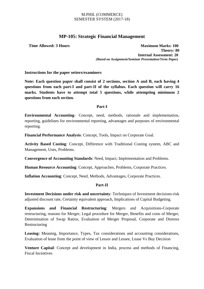# **MP-105: Strategic Financial Management**

**Time Allowed: 3 Hours Maximum Marks: 100 Theory: 80 Internal Assessment: 20** *(Based on Assignment/Seminar Presentation/Term Paper)*

**Instructions for the paper setters/examiners**

**Note: Each question paper shall consist of 2 sections, section A and B, each having 4 questions from each part-I and part-II of the syllabus. Each question will carry 16 marks. Students have to attempt total 5 questions, while attempting minimum 2 questions from each section.**

# **Part-I**

**Environmental Accounting**- Concept, need, methods, rationale and implementation, reporting, guidelines for environmental reporting, advantages and purposes of environmental reporting.

**Financial Performance Analysis**: Concept, Tools, Impact on Corporate Goal.

**Activity Based Costing**: Concept, Difference with Traditional Costing system, ABC and Management, Uses, Problems.

**Convergence of Accounting Standards**: Need, Impact, Implementation and Problems.

**Human Resource Accounting**: Concept, Approaches, Problems, Corporate Practices.

**Inflation Accounting**: Concept, Need, Methods, Advantages, Corporate Practices.

# **Part-II**

**Investment Decisions under risk and uncertainty**: Techniques of Investment decisions-risk adjusted discount rate, Certainty equivalent approach, Implications of Capital Budgeting.

**Expansions and Financial Restructuring**: Mergers and Acquisitions-Corporate restructuring, reasons for Merger, Legal procedure for Merger, Benefits and costs of Merger, Determination of Swap Ratios, Evaluation of Merger Proposal, Corporate and Distress Restructuring

**Leasing:** Meaning, Importance, Types, Tax considerations and accounting considerations, Evaluation of lease from the point of view of Lessor and Lessee, Lease Vs Buy Decision

**Venture Capital**: Concept and development in India, process and methods of Financing, Fiscal Incentives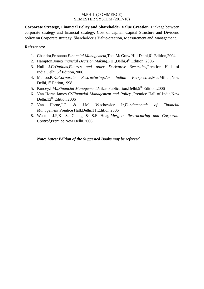**Corporate Strategy, Financial Policy and Shareholder Value Creation**: Linkage between corporate strategy and financial strategy, Cost of capital, Capital Structure and Dividend policy on Corporate strategy, Shareholder's Value-creation, Measurement and Management.

# **References:**

- 1. Chandra, Prasanna, *Financial Management*, Tata McGraw Hill, Delhi, 6<sup>th</sup> Edition, 2004
- 2. Hampton,Jone:*Financial Decision Making*,PHI,Delhi,4th Edition ,2006
- 3. Hull J.C:*Options,Futures and other Derivative Securities*,Prentice Hall of India, Delhi, $6<sup>th</sup>$  Edition, 2006
- 4. Mattoo,P.K.:*Corporate Restructuring:An Indian Perspective*,MacMillan,New Delhi, $1<sup>st</sup>$  Edtion, 1998
- 5. Pandey, I.M., *Financial Management*, Vikas Publication, Delhi, 9<sup>th</sup> Edition, 2006
- 6. Van Horne,James C:*Financial Management and Policy* ,Prentice Hall of India,New Delhi,  $12^{th}$  Edition, 2006
- 7. Van Horne,J.C. & J.M. Wachowicz Jr,*Fundamentals of Financial Management*,Prentice Hall,Delhi,11 Edition,2006
- 8. Waston J.F,K. S. Chung & S.E Hoag:*Mergers Restructuring and Corporate Control*,Prentice,New Delhi,2006

*Note: Latest Edition of the Suggested Books may be refereed.*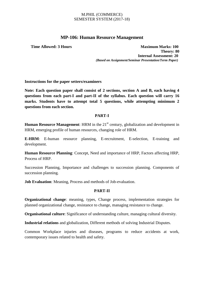# **MP-106: Human Resource Management**

**Time Allowed: 3 Hours Maximum Marks: 100 Theory: 80 Internal Assessment: 20** *(Based on Assignment/Seminar Presentation/Term Paper)*

**Instructions for the paper setters/examiners**

**Note: Each question paper shall consist of 2 sections, section A and B, each having 4 questions from each part-I and part-II of the syllabus. Each question will carry 16 marks. Students have to attempt total 5 questions, while attempting minimum 2 questions from each section.**

# **PART-I**

**Human Resource Management:** HRM in the 21<sup>st</sup> century, globalization and development in HRM, emerging profile of human resources, changing role of HRM.

**E-HRM**: E-human resource planning, E-recruitment, E-selection, E-training and development.

**Human Resource Planning**: Concept, Need and importance of HRP, Factors affecting HRP, Process of HRP.

Succession Planning, Importance and challenges to succession planning. Components of succession planning.

**Job Evaluation**: Meaning, Process and methods of Job-evaluation.

# **PART-II**

**Organizational change**: meaning, types, Change process, implementation strategies for planned organizational change, resistance to change, managing resistance to change.

**Organisational culture**: Significance of understanding culture, managing cultural diversity.

**Industrial relations** and globalization, Different methods of solving Industrial Disputes.

Common Workplace injuries and diseases, programs to reduce accidents at work, contemporary issues related to health and safety.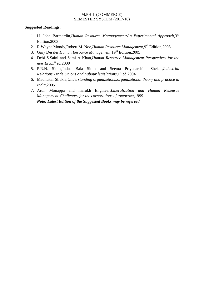# **Suggested Readings:**

- 1. H. John Barmardin,*Human Resource Mnanagement:An Experimental Approach*,3rd Edition,2003
- 2. R.Wayne Mondy, Robert M. Noe, *Human Resource Management*, 9<sup>th</sup> Edition, 2005
- 3. Gary Dessler, Human Resource Management, 19<sup>th</sup> Edition, 2005
- 4. Debi S.Saini and Sami A Khan,*Human Resource Management:Perspectives for the new Era*, $1<sup>st</sup>$  ed.2000
- 5. P.R.N. Sinha,Indua Bala Sinha and Seema Priyadarshini Shekar,*Industrial Relations, Trade Unions and Labour legislations*, 1<sup>st</sup> ed.2004
- 6. Madhukar Shukla,*Understanding organizations:organizational theory and practice in India*,2005
- 7. Arun Monappa and marukh Engineer,*Liberalization and Human Resource Management-Challenges for the corporations of tomorrow*,1999 *Note: Latest Edition of the Suggested Books may be refereed.*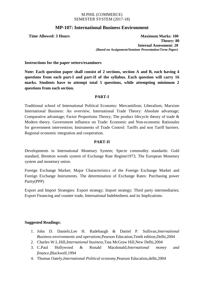# **MP-107: International Business Environment**

**Time Allowed: 3 Hours Maximum Marks: 100 Theory: 80 Internal Assessment: 20** *(Based on Assignment/Seminar Presentation/Term Paper)*

**Instructions for the paper setters/examiners**

**Note: Each question paper shall consist of 2 sections, section A and B, each having 4 questions from each part-I and part-II of the syllabus. Each question will carry 16 marks. Students have to attempt total 5 questions, while attempting minimum 2 questions from each section.**

# **PART-I**

Traditional school of International Political Economy: Mercantilism; Liberalism; Marxism International Business: An overview; International Trade Theory: Absolute advantage; Comparative advantage; Factor Proportions Theory; The product lifecycle theory of trade & Modern theory. Government influence on Trade: Economic and Non-economic Rationales for government intervention; Instruments of Trade Control: Tariffs and non Tariff barriers. Regional economic integration and cooperation.

# **PART-II**

Developments in International Monetary System; Specie commodity standards: Gold standard, Brentton woods system of Exchange Rate Regime1973, The European Monetary system and monetary union.

Foreign Exchange Market; Major Characteristics of the Foreign Exchange Market and Foreign Exchange Instruments. The determination of Exchange Rates: Purchasing power Parity(PPP)

Export and Import Strategies: Export strategy; Import strategy; Third party intermediaries; Export Financing and counter trade, International Indebtedness and its Implications.

# **Suggested Readings:**

- 1. John D. Daniels;Lee H. Radebaugh & Daniel P. Sullivan,*International Business:environments and operations*,Pearson Education,Tenth edition,Delhi,2004
- 2. Charles W.L.Hill,*International business*,Tata McGraw Hill,New Delhi,2004
- 3. C.Paul Hollywood & Ronald Macdonald;*International money and finance*,Blackwell,1994
- 4. Thomas Oately,*International Political economy*,Pearson Education,delhi,2004